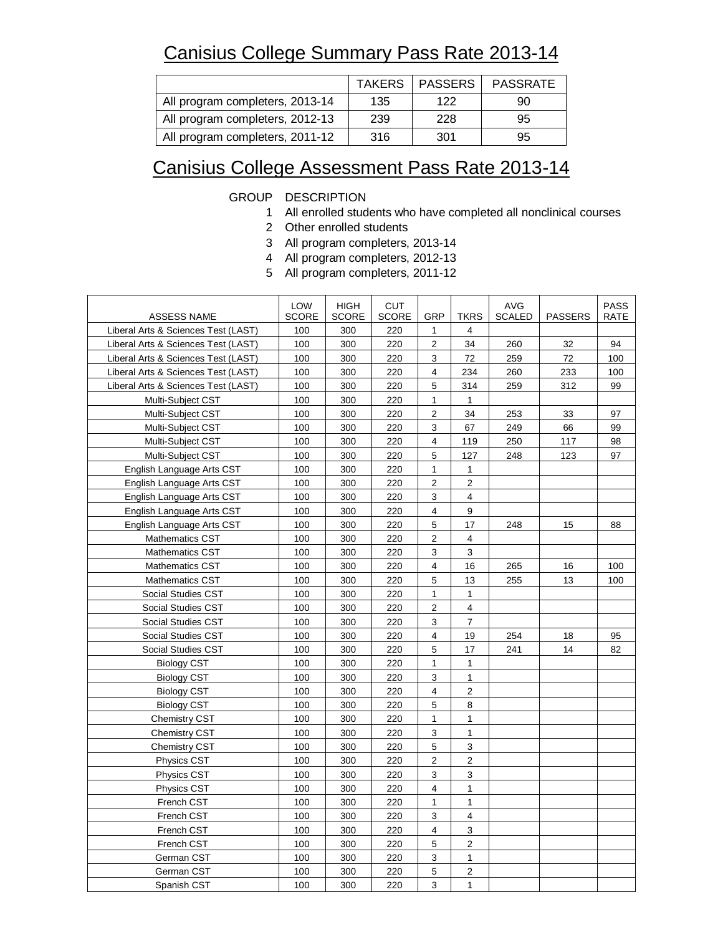## Canisius College Summary Pass Rate 2013-14

|                                 | <b>TAKERS</b> | <b>I PASSERS</b> | <b>PASSRATE</b> |
|---------------------------------|---------------|------------------|-----------------|
| All program completers, 2013-14 | 135           | 122              | 90              |
| All program completers, 2012-13 | 239           | 228              | 95              |
| All program completers, 2011-12 | 316           | 301              | 95              |

## Canisius College Assessment Pass Rate 2013-14

## GROUP DESCRIPTION

- 1 All enrolled students who have completed all nonclinical courses
- 2 Other enrolled students
- 3 All program completers, 2013-14
- 4 All program completers, 2012-13
- 5 All program completers, 2011-12

| <b>ASSESS NAME</b>                  | LOW<br><b>SCORE</b> | <b>HIGH</b><br><b>SCORE</b> | <b>CUT</b><br><b>SCORE</b> | <b>GRP</b>                | <b>TKRS</b>    | AVG<br><b>SCALED</b> | <b>PASSERS</b> | <b>PASS</b><br><b>RATE</b> |
|-------------------------------------|---------------------|-----------------------------|----------------------------|---------------------------|----------------|----------------------|----------------|----------------------------|
| Liberal Arts & Sciences Test (LAST) | 100                 | 300                         | 220                        | $\mathbf{1}$              | 4              |                      |                |                            |
| Liberal Arts & Sciences Test (LAST) | 100                 | 300                         | 220                        | $\overline{2}$            | 34             | 260                  | 32             | 94                         |
| Liberal Arts & Sciences Test (LAST) | 100                 | 300                         | 220                        | 3                         | 72             | 259                  | 72             | 100                        |
| Liberal Arts & Sciences Test (LAST) | 100                 | 300                         | 220                        | 4                         | 234            | 260                  | 233            | 100                        |
| Liberal Arts & Sciences Test (LAST) | 100                 | 300                         | 220                        | 5                         | 314            | 259                  | 312            | 99                         |
| Multi-Subject CST                   | 100                 | 300                         | 220                        | $\mathbf{1}$              | $\mathbf{1}$   |                      |                |                            |
| Multi-Subject CST                   | 100                 | 300                         | 220                        | $\overline{c}$            | 34             | 253                  | 33             | 97                         |
| Multi-Subject CST                   | 100                 | 300                         | 220                        | 3                         | 67             | 249                  | 66             | 99                         |
| Multi-Subject CST                   | 100                 | 300                         | 220                        | 4                         | 119            | 250                  | 117            | 98                         |
| Multi-Subject CST                   | 100                 | 300                         | 220                        | 5                         | 127            | 248                  | 123            | 97                         |
| English Language Arts CST           | 100                 | 300                         | 220                        | $\mathbf{1}$              | 1              |                      |                |                            |
| English Language Arts CST           | 100                 | 300                         | 220                        | $\overline{2}$            | $\overline{c}$ |                      |                |                            |
| English Language Arts CST           | 100                 | 300                         | 220                        | 3                         | 4              |                      |                |                            |
| English Language Arts CST           | 100                 | 300                         | 220                        | 4                         | 9              |                      |                |                            |
| English Language Arts CST           | 100                 | 300                         | 220                        | 5                         | 17             | 248                  | 15             | 88                         |
| <b>Mathematics CST</b>              | 100                 | 300                         | 220                        | $\mathbf 2$               | $\overline{4}$ |                      |                |                            |
| <b>Mathematics CST</b>              | 100                 | 300                         | 220                        | 3                         | 3              |                      |                |                            |
| <b>Mathematics CST</b>              | 100                 | 300                         | 220                        | $\overline{4}$            | 16             | 265                  | 16             | 100                        |
| <b>Mathematics CST</b>              | 100                 | 300                         | 220                        | 5                         | 13             | 255                  | 13             | 100                        |
| Social Studies CST                  | 100                 | 300                         | 220                        | $\mathbf{1}$              | $\mathbf{1}$   |                      |                |                            |
| <b>Social Studies CST</b>           | 100                 | 300                         | 220                        | 2                         | 4              |                      |                |                            |
| Social Studies CST                  | 100                 | 300                         | 220                        | 3                         | $\overline{7}$ |                      |                |                            |
| Social Studies CST                  | 100                 | 300                         | 220                        | 4                         | 19             | 254                  | 18             | 95                         |
| Social Studies CST                  | 100                 | 300                         | 220                        | 5                         | 17             | 241                  | 14             | 82                         |
| <b>Biology CST</b>                  | 100                 | 300                         | 220                        | $\mathbf{1}$              | 1              |                      |                |                            |
| <b>Biology CST</b>                  | 100                 | 300                         | 220                        | 3                         | 1              |                      |                |                            |
| <b>Biology CST</b>                  | 100                 | 300                         | 220                        | 4                         | $\overline{2}$ |                      |                |                            |
| <b>Biology CST</b>                  | 100                 | 300                         | 220                        | 5                         | 8              |                      |                |                            |
| Chemistry CST                       | 100                 | 300                         | 220                        | $\mathbf{1}$              | 1              |                      |                |                            |
| <b>Chemistry CST</b>                | 100                 | 300                         | 220                        | 3                         | $\mathbf{1}$   |                      |                |                            |
| Chemistry CST                       | 100                 | 300                         | 220                        | 5                         | 3              |                      |                |                            |
| <b>Physics CST</b>                  | 100                 | 300                         | 220                        | $\overline{2}$            | 2              |                      |                |                            |
| Physics CST                         | 100                 | 300                         | 220                        | 3                         | 3              |                      |                |                            |
| <b>Physics CST</b>                  | 100                 | 300                         | 220                        | 4                         | 1              |                      |                |                            |
| French CST                          | 100                 | 300                         | 220                        | 1                         | 1              |                      |                |                            |
| French CST                          | 100                 | 300                         | 220                        | 3                         | 4              |                      |                |                            |
| French CST                          | 100                 | 300                         | 220                        | 4                         | 3              |                      |                |                            |
| French CST                          | 100                 | 300                         | 220                        | 5                         | $\overline{2}$ |                      |                |                            |
| German CST                          | 100                 | 300                         | 220                        | $\ensuremath{\mathsf{3}}$ | 1              |                      |                |                            |
| German CST                          | 100                 | 300                         | 220                        | 5                         | $\overline{2}$ |                      |                |                            |
| Spanish CST                         | 100                 | 300                         | 220                        | 3                         | $\mathbf{1}$   |                      |                |                            |